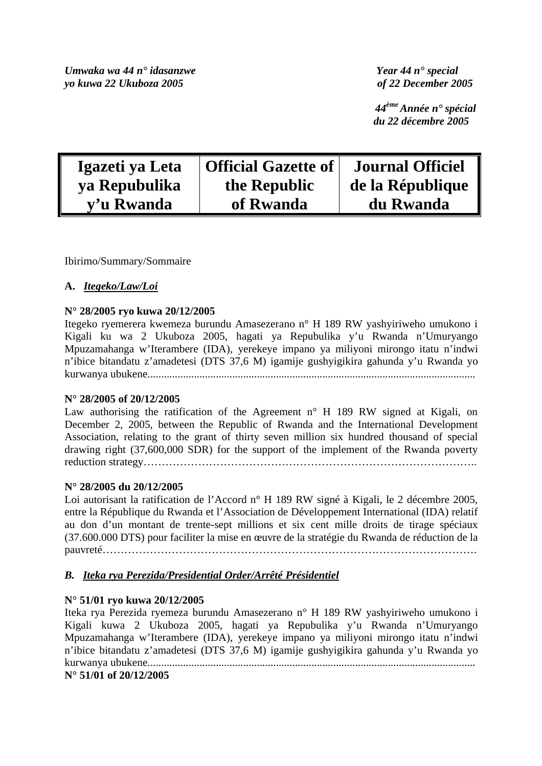*Umwaka wa 44 n° idasanzwe Year 44 n° special yo kuwa 22 Ukuboza 2005 of 22 December 2005* 

 *44ème Année n° spécial du 22 décembre 2005* 

| Igazeti ya Leta | <b>Official Gazette of</b> | <b>Journal Officiel</b> |
|-----------------|----------------------------|-------------------------|
| ya Repubulika   | the Republic               | de la République        |
| y'u Rwanda      | of Rwanda                  | du Rwanda               |

Ibirimo/Summary/Sommaire

# **A.** *Itegeko/Law/Loi*

### **N° 28/2005 ryo kuwa 20/12/2005**

Itegeko ryemerera kwemeza burundu Amasezerano n° H 189 RW yashyiriweho umukono i Kigali ku wa 2 Ukuboza 2005, hagati ya Repubulika y'u Rwanda n'Umuryango Mpuzamahanga w'Iterambere (IDA), yerekeye impano ya miliyoni mirongo itatu n'indwi n'ibice bitandatu z'amadetesi (DTS 37,6 M) igamije gushyigikira gahunda y'u Rwanda yo kurwanya ubukene........................................................................................................................

### **N° 28/2005 of 20/12/2005**

Law authorising the ratification of the Agreement  $n^{\circ}$  H 189 RW signed at Kigali, on December 2, 2005, between the Republic of Rwanda and the International Development Association, relating to the grant of thirty seven million six hundred thousand of special drawing right (37,600,000 SDR) for the support of the implement of the Rwanda poverty reduction strategy………………………………………………………………………………..

### **N° 28/2005 du 20/12/2005**

Loi autorisant la ratification de l'Accord n° H 189 RW signé à Kigali, le 2 décembre 2005, entre la République du Rwanda et l'Association de Développement International (IDA) relatif au don d'un montant de trente-sept millions et six cent mille droits de tirage spéciaux (37.600.000 DTS) pour faciliter la mise en œuvre de la stratégie du Rwanda de réduction de la pauvreté………………………………………………………………………………………….

### *B. Iteka rya Perezida/Presidential Order/Arrêté Présidentiel*

### **N° 51/01 ryo kuwa 20/12/2005**

Iteka rya Perezida ryemeza burundu Amasezerano n° H 189 RW yashyiriweho umukono i Kigali kuwa 2 Ukuboza 2005, hagati ya Repubulika y'u Rwanda n'Umuryango Mpuzamahanga w'Iterambere (IDA), yerekeye impano ya miliyoni mirongo itatu n'indwi n'ibice bitandatu z'amadetesi (DTS 37,6 M) igamije gushyigikira gahunda y'u Rwanda yo kurwanya ubukene........................................................................................................................

**N° 51/01 of 20/12/2005**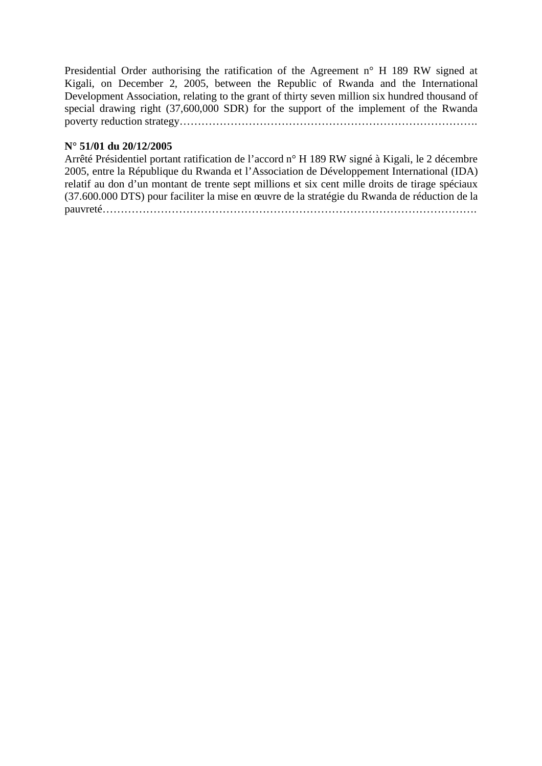Presidential Order authorising the ratification of the Agreement n° H 189 RW signed at Kigali, on December 2, 2005, between the Republic of Rwanda and the International Development Association, relating to the grant of thirty seven million six hundred thousand of special drawing right (37,600,000 SDR) for the support of the implement of the Rwanda poverty reduction strategy……………………………………………………………………….

### **N° 51/01 du 20/12/2005**

Arrêté Présidentiel portant ratification de l'accord n° H 189 RW signé à Kigali, le 2 décembre 2005, entre la République du Rwanda et l'Association de Développement International (IDA) relatif au don d'un montant de trente sept millions et six cent mille droits de tirage spéciaux (37.600.000 DTS) pour faciliter la mise en œuvre de la stratégie du Rwanda de réduction de la pauvreté………………………………………………………………………………………….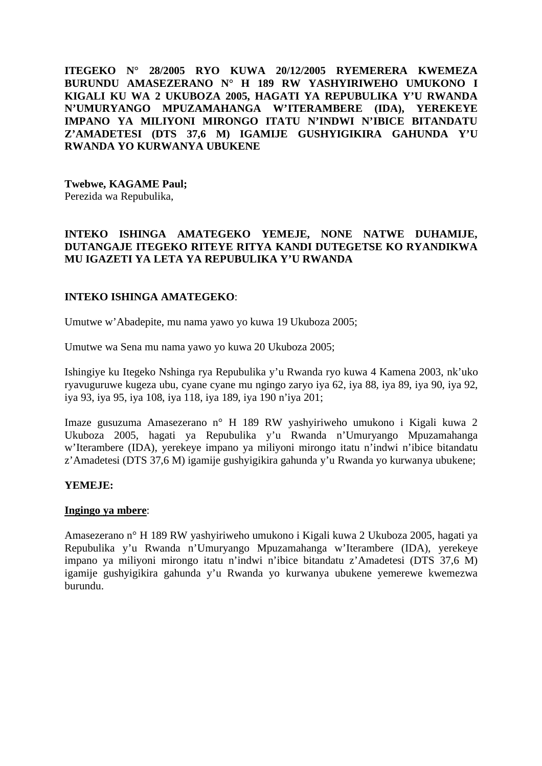**ITEGEKO N° 28/2005 RYO KUWA 20/12/2005 RYEMERERA KWEMEZA BURUNDU AMASEZERANO N° H 189 RW YASHYIRIWEHO UMUKONO I KIGALI KU WA 2 UKUBOZA 2005, HAGATI YA REPUBULIKA Y'U RWANDA N'UMURYANGO MPUZAMAHANGA W'ITERAMBERE (IDA), YEREKEYE IMPANO YA MILIYONI MIRONGO ITATU N'INDWI N'IBICE BITANDATU Z'AMADETESI (DTS 37,6 M) IGAMIJE GUSHYIGIKIRA GAHUNDA Y'U RWANDA YO KURWANYA UBUKENE** 

**Twebwe, KAGAME Paul;** 

Perezida wa Repubulika,

# **INTEKO ISHINGA AMATEGEKO YEMEJE, NONE NATWE DUHAMIJE, DUTANGAJE ITEGEKO RITEYE RITYA KANDI DUTEGETSE KO RYANDIKWA MU IGAZETI YA LETA YA REPUBULIKA Y'U RWANDA**

# **INTEKO ISHINGA AMATEGEKO**:

Umutwe w'Abadepite, mu nama yawo yo kuwa 19 Ukuboza 2005;

Umutwe wa Sena mu nama yawo yo kuwa 20 Ukuboza 2005;

Ishingiye ku Itegeko Nshinga rya Repubulika y'u Rwanda ryo kuwa 4 Kamena 2003, nk'uko ryavuguruwe kugeza ubu, cyane cyane mu ngingo zaryo iya 62, iya 88, iya 89, iya 90, iya 92, iya 93, iya 95, iya 108, iya 118, iya 189, iya 190 n'iya 201;

Imaze gusuzuma Amasezerano n° H 189 RW yashyiriweho umukono i Kigali kuwa 2 Ukuboza 2005, hagati ya Repubulika y'u Rwanda n'Umuryango Mpuzamahanga w'Iterambere (IDA), yerekeye impano ya miliyoni mirongo itatu n'indwi n'ibice bitandatu z'Amadetesi (DTS 37,6 M) igamije gushyigikira gahunda y'u Rwanda yo kurwanya ubukene;

### **YEMEJE:**

### **Ingingo ya mbere**:

Amasezerano n° H 189 RW yashyiriweho umukono i Kigali kuwa 2 Ukuboza 2005, hagati ya Repubulika y'u Rwanda n'Umuryango Mpuzamahanga w'Iterambere (IDA), yerekeye impano ya miliyoni mirongo itatu n'indwi n'ibice bitandatu z'Amadetesi (DTS 37,6 M) igamije gushyigikira gahunda y'u Rwanda yo kurwanya ubukene yemerewe kwemezwa burundu.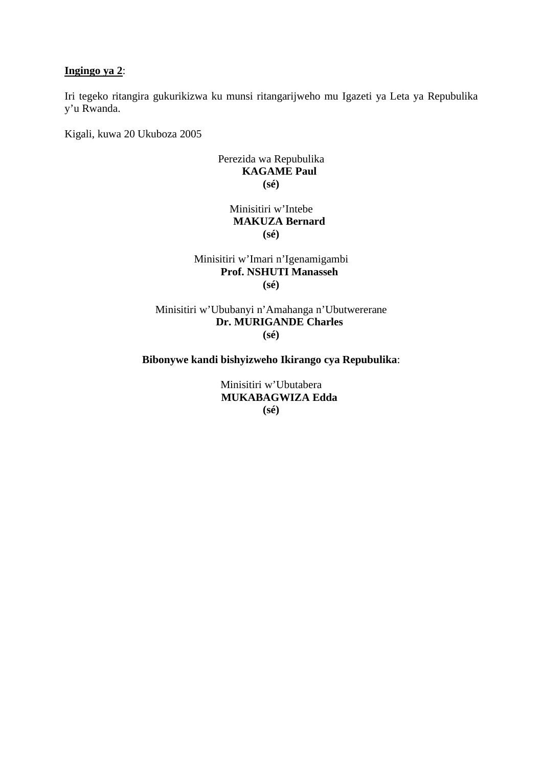### **Ingingo ya 2**:

Iri tegeko ritangira gukurikizwa ku munsi ritangarijweho mu Igazeti ya Leta ya Repubulika y'u Rwanda.

Kigali, kuwa 20 Ukuboza 2005

### Perezida wa Repubulika **KAGAME Paul (sé)**

# Minisitiri w'Intebe **MAKUZA Bernard (sé)**

### Minisitiri w'Imari n'Igenamigambi **Prof. NSHUTI Manasseh (sé)**

### Minisitiri w'Ububanyi n'Amahanga n'Ubutwererane **Dr. MURIGANDE Charles (sé)**

### **Bibonywe kandi bishyizweho Ikirango cya Repubulika**:

Minisitiri w'Ubutabera **MUKABAGWIZA Edda (sé)**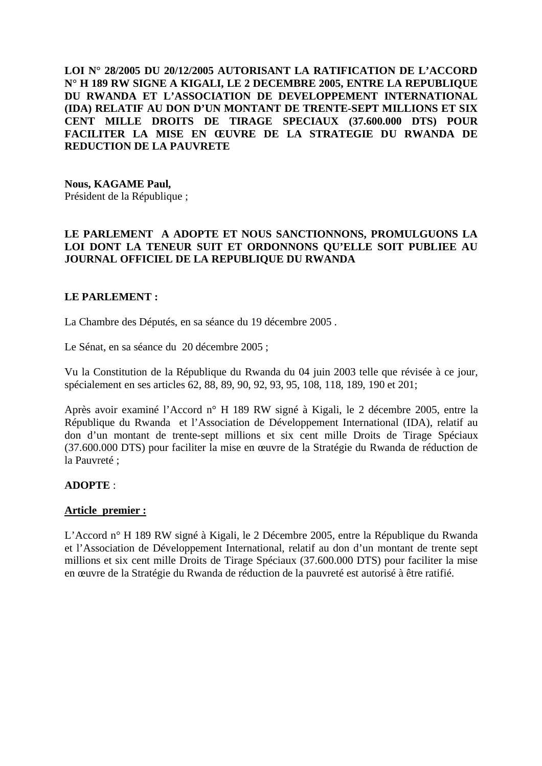**LOI N° 28/2005 DU 20/12/2005 AUTORISANT LA RATIFICATION DE L'ACCORD N° H 189 RW SIGNE A KIGALI, LE 2 DECEMBRE 2005, ENTRE LA REPUBLIQUE DU RWANDA ET L'ASSOCIATION DE DEVELOPPEMENT INTERNATIONAL (IDA) RELATIF AU DON D'UN MONTANT DE TRENTE-SEPT MILLIONS ET SIX CENT MILLE DROITS DE TIRAGE SPECIAUX (37.600.000 DTS) POUR FACILITER LA MISE EN ŒUVRE DE LA STRATEGIE DU RWANDA DE REDUCTION DE LA PAUVRETE** 

**Nous, KAGAME Paul,**  Président de la République ;

## **LE PARLEMENT A ADOPTE ET NOUS SANCTIONNONS, PROMULGUONS LA LOI DONT LA TENEUR SUIT ET ORDONNONS QU'ELLE SOIT PUBLIEE AU JOURNAL OFFICIEL DE LA REPUBLIQUE DU RWANDA**

### **LE PARLEMENT :**

La Chambre des Députés, en sa séance du 19 décembre 2005 .

Le Sénat, en sa séance du 20 décembre 2005 ;

Vu la Constitution de la République du Rwanda du 04 juin 2003 telle que révisée à ce jour, spécialement en ses articles 62, 88, 89, 90, 92, 93, 95, 108, 118, 189, 190 et 201;

Après avoir examiné l'Accord n° H 189 RW signé à Kigali, le 2 décembre 2005, entre la République du Rwanda et l'Association de Développement International (IDA), relatif au don d'un montant de trente-sept millions et six cent mille Droits de Tirage Spéciaux (37.600.000 DTS) pour faciliter la mise en œuvre de la Stratégie du Rwanda de réduction de la Pauvreté ;

### **ADOPTE** :

### **Article premier :**

L'Accord n° H 189 RW signé à Kigali, le 2 Décembre 2005, entre la République du Rwanda et l'Association de Développement International, relatif au don d'un montant de trente sept millions et six cent mille Droits de Tirage Spéciaux (37.600.000 DTS) pour faciliter la mise en œuvre de la Stratégie du Rwanda de réduction de la pauvreté est autorisé à être ratifié.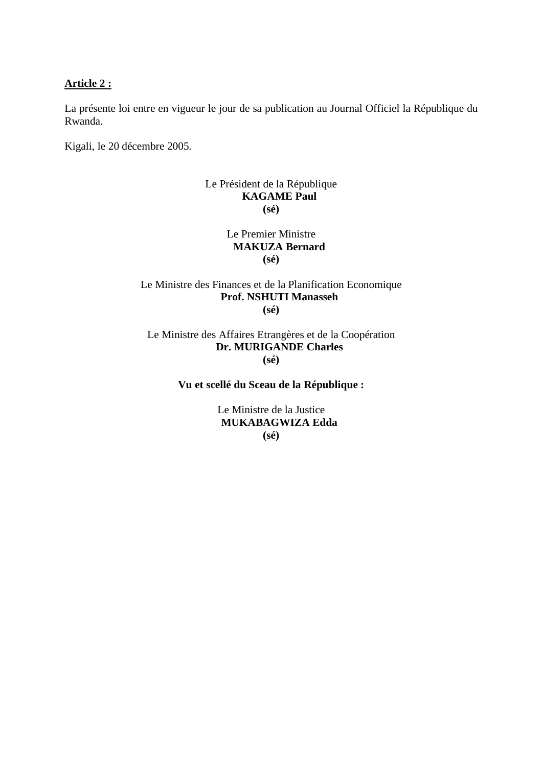#### **Article 2 :**

La présente loi entre en vigueur le jour de sa publication au Journal Officiel la République du Rwanda.

Kigali, le 20 décembre 2005.

# Le Président de la République **KAGAME Paul (sé)**

Le Premier Ministre **MAKUZA Bernard (sé)** 

### Le Ministre des Finances et de la Planification Economique **Prof. NSHUTI Manasseh (sé)**

Le Ministre des Affaires Etrangères et de la Coopération **Dr. MURIGANDE Charles (sé)** 

# **Vu et scellé du Sceau de la République :**

Le Ministre de la Justice **MUKABAGWIZA Edda (sé)**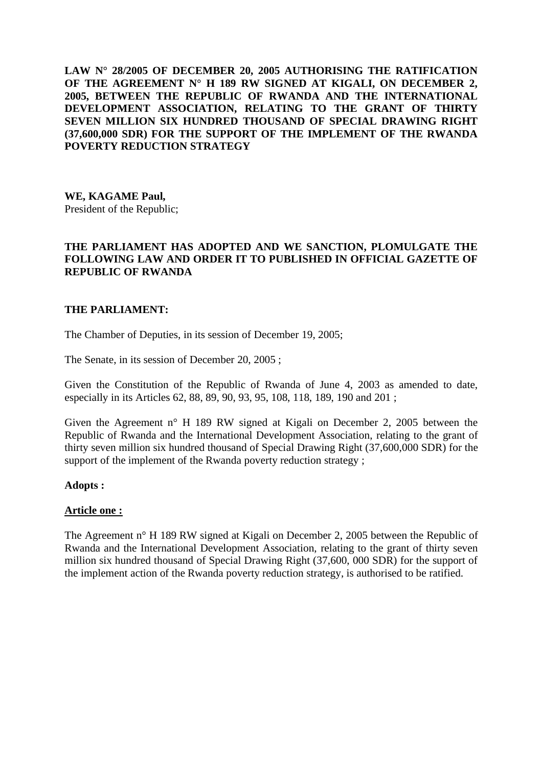**LAW N° 28/2005 OF DECEMBER 20, 2005 AUTHORISING THE RATIFICATION OF THE AGREEMENT N° H 189 RW SIGNED AT KIGALI, ON DECEMBER 2, 2005, BETWEEN THE REPUBLIC OF RWANDA AND THE INTERNATIONAL DEVELOPMENT ASSOCIATION, RELATING TO THE GRANT OF THIRTY SEVEN MILLION SIX HUNDRED THOUSAND OF SPECIAL DRAWING RIGHT (37,600,000 SDR) FOR THE SUPPORT OF THE IMPLEMENT OF THE RWANDA POVERTY REDUCTION STRATEGY** 

**WE, KAGAME Paul,**  President of the Republic;

# **THE PARLIAMENT HAS ADOPTED AND WE SANCTION, PLOMULGATE THE FOLLOWING LAW AND ORDER IT TO PUBLISHED IN OFFICIAL GAZETTE OF REPUBLIC OF RWANDA**

### **THE PARLIAMENT:**

The Chamber of Deputies, in its session of December 19, 2005;

The Senate, in its session of December 20, 2005 ;

Given the Constitution of the Republic of Rwanda of June 4, 2003 as amended to date, especially in its Articles 62, 88, 89, 90, 93, 95, 108, 118, 189, 190 and 201 ;

Given the Agreement n° H 189 RW signed at Kigali on December 2, 2005 between the Republic of Rwanda and the International Development Association, relating to the grant of thirty seven million six hundred thousand of Special Drawing Right (37,600,000 SDR) for the support of the implement of the Rwanda poverty reduction strategy;

#### **Adopts :**

#### **Article one :**

The Agreement n° H 189 RW signed at Kigali on December 2, 2005 between the Republic of Rwanda and the International Development Association, relating to the grant of thirty seven million six hundred thousand of Special Drawing Right (37,600, 000 SDR) for the support of the implement action of the Rwanda poverty reduction strategy, is authorised to be ratified.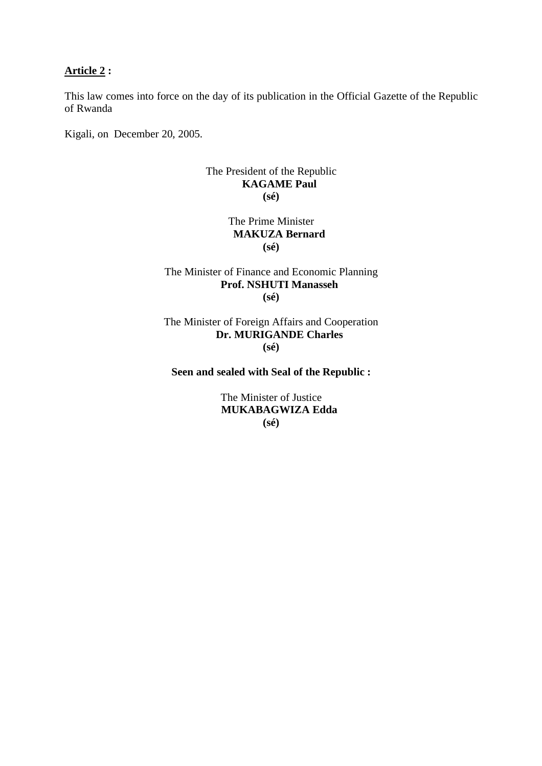### **Article 2 :**

This law comes into force on the day of its publication in the Official Gazette of the Republic of Rwanda

Kigali, on December 20, 2005.

### The President of the Republic **KAGAME Paul (sé)**

### The Prime Minister **MAKUZA Bernard (sé)**

### The Minister of Finance and Economic Planning **Prof. NSHUTI Manasseh (sé)**

The Minister of Foreign Affairs and Cooperation **Dr. MURIGANDE Charles (sé)**

#### **Seen and sealed with Seal of the Republic :**

The Minister of Justice **MUKABAGWIZA Edda (sé)**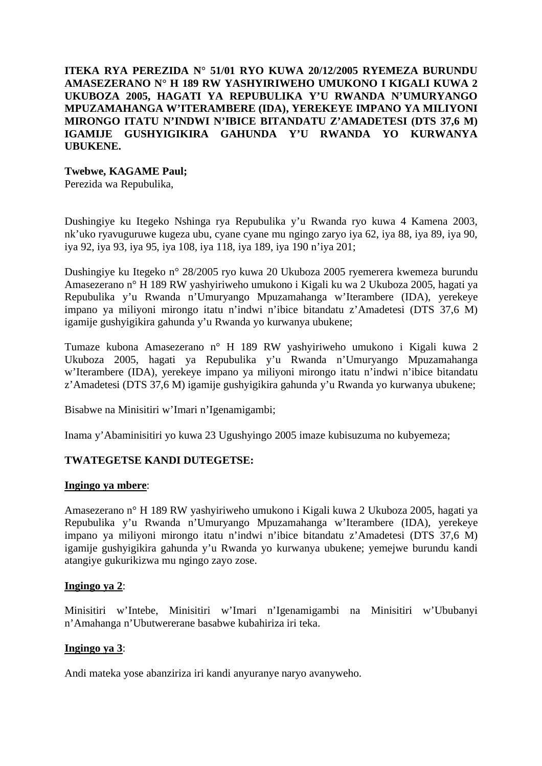### **ITEKA RYA PEREZIDA N° 51/01 RYO KUWA 20/12/2005 RYEMEZA BURUNDU AMASEZERANO N° H 189 RW YASHYIRIWEHO UMUKONO I KIGALI KUWA 2 UKUBOZA 2005, HAGATI YA REPUBULIKA Y'U RWANDA N'UMURYANGO MPUZAMAHANGA W'ITERAMBERE (IDA), YEREKEYE IMPANO YA MILIYONI MIRONGO ITATU N'INDWI N'IBICE BITANDATU Z'AMADETESI (DTS 37,6 M) IGAMIJE GUSHYIGIKIRA GAHUNDA Y'U RWANDA YO KURWANYA UBUKENE.**

### **Twebwe, KAGAME Paul;**

Perezida wa Repubulika,

Dushingiye ku Itegeko Nshinga rya Repubulika y'u Rwanda ryo kuwa 4 Kamena 2003, nk'uko ryavuguruwe kugeza ubu, cyane cyane mu ngingo zaryo iya 62, iya 88, iya 89, iya 90, iya 92, iya 93, iya 95, iya 108, iya 118, iya 189, iya 190 n'iya 201;

Dushingiye ku Itegeko n° 28/2005 ryo kuwa 20 Ukuboza 2005 ryemerera kwemeza burundu Amasezerano n° H 189 RW yashyiriweho umukono i Kigali ku wa 2 Ukuboza 2005, hagati ya Repubulika y'u Rwanda n'Umuryango Mpuzamahanga w'Iterambere (IDA), yerekeye impano ya miliyoni mirongo itatu n'indwi n'ibice bitandatu z'Amadetesi (DTS 37,6 M) igamije gushyigikira gahunda y'u Rwanda yo kurwanya ubukene;

Tumaze kubona Amasezerano n° H 189 RW yashyiriweho umukono i Kigali kuwa 2 Ukuboza 2005, hagati ya Repubulika y'u Rwanda n'Umuryango Mpuzamahanga w'Iterambere (IDA), yerekeye impano ya miliyoni mirongo itatu n'indwi n'ibice bitandatu z'Amadetesi (DTS 37,6 M) igamije gushyigikira gahunda y'u Rwanda yo kurwanya ubukene;

Bisabwe na Minisitiri w'Imari n'Igenamigambi;

Inama y'Abaminisitiri yo kuwa 23 Ugushyingo 2005 imaze kubisuzuma no kubyemeza;

# **TWATEGETSE KANDI DUTEGETSE:**

### **Ingingo ya mbere**:

Amasezerano n° H 189 RW yashyiriweho umukono i Kigali kuwa 2 Ukuboza 2005, hagati ya Repubulika y'u Rwanda n'Umuryango Mpuzamahanga w'Iterambere (IDA), yerekeye impano ya miliyoni mirongo itatu n'indwi n'ibice bitandatu z'Amadetesi (DTS 37,6 M) igamije gushyigikira gahunda y'u Rwanda yo kurwanya ubukene; yemejwe burundu kandi atangiye gukurikizwa mu ngingo zayo zose.

### **Ingingo ya 2**:

Minisitiri w'Intebe, Minisitiri w'Imari n'Igenamigambi na Minisitiri w'Ububanyi n'Amahanga n'Ubutwererane basabwe kubahiriza iri teka.

# **Ingingo ya 3**:

Andi mateka yose abanziriza iri kandi anyuranye naryo avanyweho.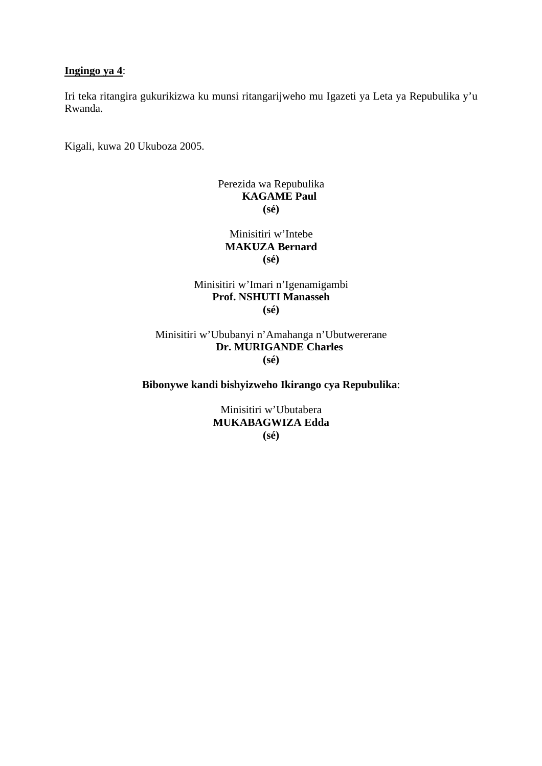### **Ingingo ya 4**:

Iri teka ritangira gukurikizwa ku munsi ritangarijweho mu Igazeti ya Leta ya Repubulika y'u Rwanda.

Kigali, kuwa 20 Ukuboza 2005.

## Perezida wa Repubulika **KAGAME Paul (sé)**

Minisitiri w'Intebe **MAKUZA Bernard (sé)** 

# Minisitiri w'Imari n'Igenamigambi **Prof. NSHUTI Manasseh (sé)**

Minisitiri w'Ububanyi n'Amahanga n'Ubutwererane **Dr. MURIGANDE Charles (sé)** 

# **Bibonywe kandi bishyizweho Ikirango cya Repubulika**:

Minisitiri w'Ubutabera **MUKABAGWIZA Edda (sé)**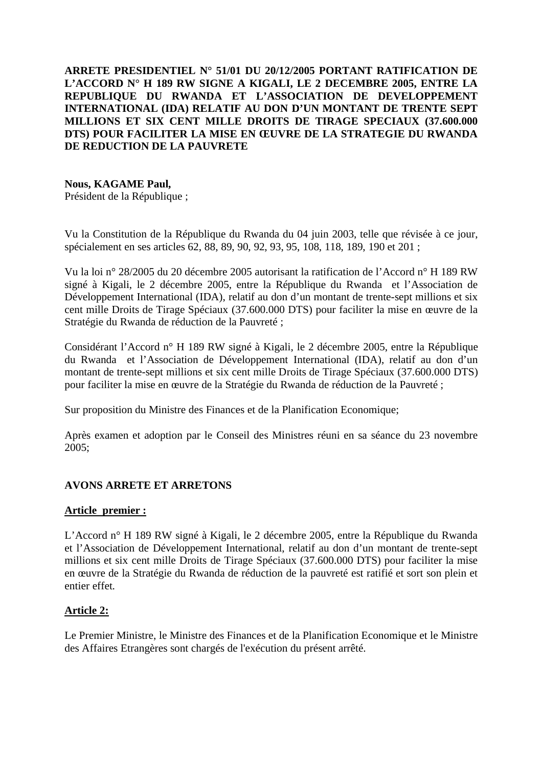# **ARRETE PRESIDENTIEL N° 51/01 DU 20/12/2005 PORTANT RATIFICATION DE L'ACCORD N° H 189 RW SIGNE A KIGALI, LE 2 DECEMBRE 2005, ENTRE LA REPUBLIQUE DU RWANDA ET L'ASSOCIATION DE DEVELOPPEMENT INTERNATIONAL (IDA) RELATIF AU DON D'UN MONTANT DE TRENTE SEPT MILLIONS ET SIX CENT MILLE DROITS DE TIRAGE SPECIAUX (37.600.000 DTS) POUR FACILITER LA MISE EN ŒUVRE DE LA STRATEGIE DU RWANDA DE REDUCTION DE LA PAUVRETE**

### **Nous, KAGAME Paul,**

Président de la République ;

Vu la Constitution de la République du Rwanda du 04 juin 2003, telle que révisée à ce jour, spécialement en ses articles 62, 88, 89, 90, 92, 93, 95, 108, 118, 189, 190 et 201 ;

Vu la loi n° 28/2005 du 20 décembre 2005 autorisant la ratification de l'Accord n° H 189 RW signé à Kigali, le 2 décembre 2005, entre la République du Rwanda et l'Association de Développement International (IDA), relatif au don d'un montant de trente-sept millions et six cent mille Droits de Tirage Spéciaux (37.600.000 DTS) pour faciliter la mise en œuvre de la Stratégie du Rwanda de réduction de la Pauvreté ;

Considérant l'Accord n° H 189 RW signé à Kigali, le 2 décembre 2005, entre la République du Rwanda et l'Association de Développement International (IDA), relatif au don d'un montant de trente-sept millions et six cent mille Droits de Tirage Spéciaux (37.600.000 DTS) pour faciliter la mise en œuvre de la Stratégie du Rwanda de réduction de la Pauvreté ;

Sur proposition du Ministre des Finances et de la Planification Economique;

Après examen et adoption par le Conseil des Ministres réuni en sa séance du 23 novembre 2005;

# **AVONS ARRETE ET ARRETONS**

### **Article premier :**

L'Accord n° H 189 RW signé à Kigali, le 2 décembre 2005, entre la République du Rwanda et l'Association de Développement International, relatif au don d'un montant de trente-sept millions et six cent mille Droits de Tirage Spéciaux (37.600.000 DTS) pour faciliter la mise en œuvre de la Stratégie du Rwanda de réduction de la pauvreté est ratifié et sort son plein et entier effet.

### **Article 2:**

Le Premier Ministre, le Ministre des Finances et de la Planification Economique et le Ministre des Affaires Etrangères sont chargés de l'exécution du présent arrêté.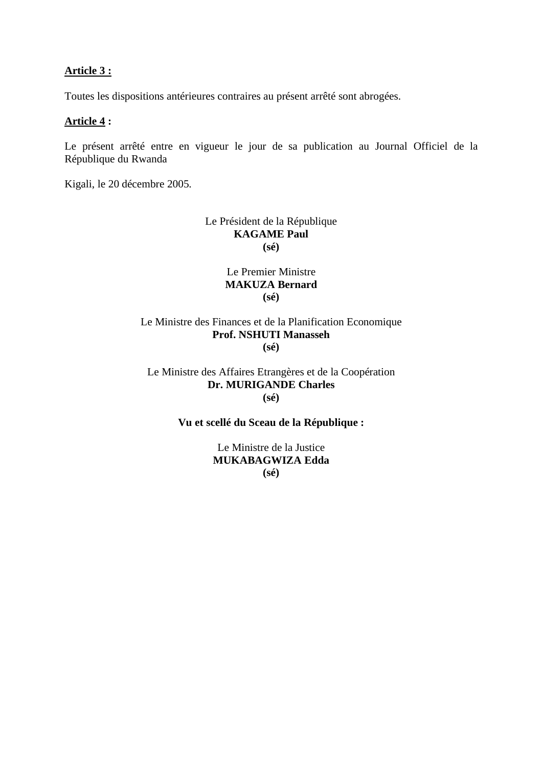### **Article 3 :**

Toutes les dispositions antérieures contraires au présent arrêté sont abrogées.

#### **Article 4 :**

Le présent arrêté entre en vigueur le jour de sa publication au Journal Officiel de la République du Rwanda

Kigali, le 20 décembre 2005.

#### Le Président de la République **KAGAME Paul (sé)**

Le Premier Ministre **MAKUZA Bernard (sé)** 

### Le Ministre des Finances et de la Planification Economique **Prof. NSHUTI Manasseh (sé)**

### Le Ministre des Affaires Etrangères et de la Coopération **Dr. MURIGANDE Charles (sé)**

### **Vu et scellé du Sceau de la République :**

Le Ministre de la Justice **MUKABAGWIZA Edda (sé)**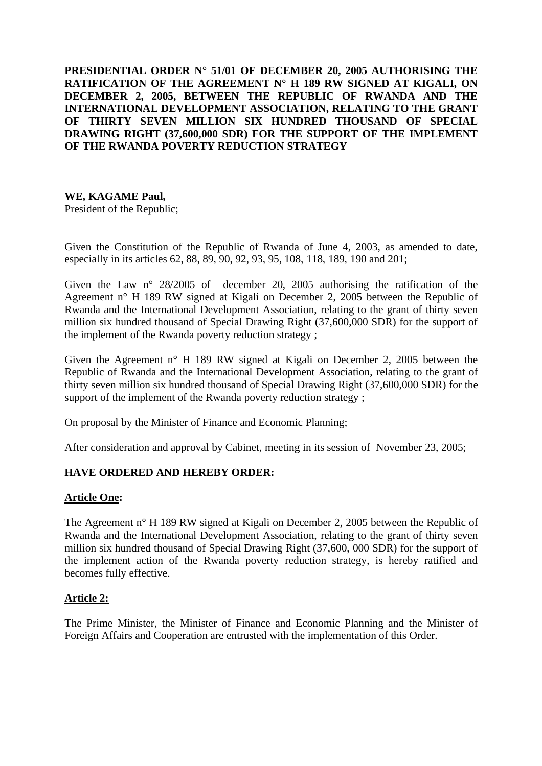**PRESIDENTIAL ORDER N° 51/01 OF DECEMBER 20, 2005 AUTHORISING THE RATIFICATION OF THE AGREEMENT N° H 189 RW SIGNED AT KIGALI, ON DECEMBER 2, 2005, BETWEEN THE REPUBLIC OF RWANDA AND THE INTERNATIONAL DEVELOPMENT ASSOCIATION, RELATING TO THE GRANT OF THIRTY SEVEN MILLION SIX HUNDRED THOUSAND OF SPECIAL DRAWING RIGHT (37,600,000 SDR) FOR THE SUPPORT OF THE IMPLEMENT OF THE RWANDA POVERTY REDUCTION STRATEGY** 

# **WE, KAGAME Paul,**

President of the Republic;

Given the Constitution of the Republic of Rwanda of June 4, 2003, as amended to date, especially in its articles 62, 88, 89, 90, 92, 93, 95, 108, 118, 189, 190 and 201;

Given the Law n° 28/2005 of december 20, 2005 authorising the ratification of the Agreement n° H 189 RW signed at Kigali on December 2, 2005 between the Republic of Rwanda and the International Development Association, relating to the grant of thirty seven million six hundred thousand of Special Drawing Right (37,600,000 SDR) for the support of the implement of the Rwanda poverty reduction strategy ;

Given the Agreement n° H 189 RW signed at Kigali on December 2, 2005 between the Republic of Rwanda and the International Development Association, relating to the grant of thirty seven million six hundred thousand of Special Drawing Right (37,600,000 SDR) for the support of the implement of the Rwanda poverty reduction strategy ;

On proposal by the Minister of Finance and Economic Planning;

After consideration and approval by Cabinet, meeting in its session of November 23, 2005;

### **HAVE ORDERED AND HEREBY ORDER:**

### **Article One:**

The Agreement n° H 189 RW signed at Kigali on December 2, 2005 between the Republic of Rwanda and the International Development Association, relating to the grant of thirty seven million six hundred thousand of Special Drawing Right (37,600, 000 SDR) for the support of the implement action of the Rwanda poverty reduction strategy, is hereby ratified and becomes fully effective.

### **Article 2:**

The Prime Minister, the Minister of Finance and Economic Planning and the Minister of Foreign Affairs and Cooperation are entrusted with the implementation of this Order.